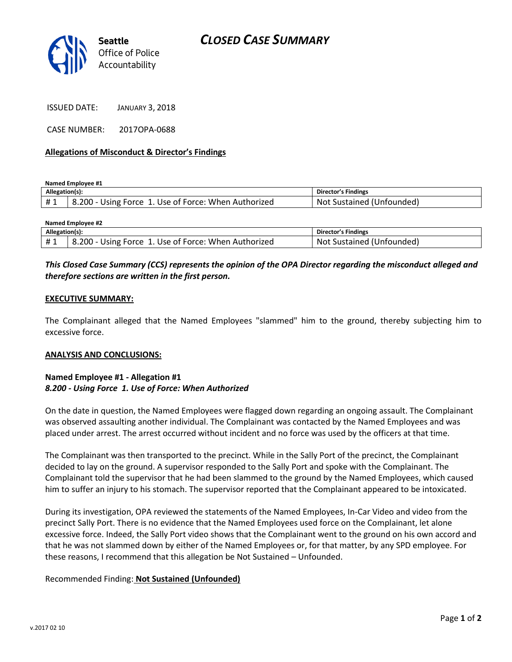

ISSUED DATE: JANUARY 3, 2018

CASE NUMBER: 2017OPA-0688

### **Allegations of Misconduct & Director's Findings**

**Named Employee #1**

| Allegation(s): |                                                      | Director's Findings       |
|----------------|------------------------------------------------------|---------------------------|
| #1             | B.200 - Using Force 1. Use of Force: When Authorized | Not Sustained (Unfounded) |

| <b>Named Employee #2</b> |                                                      |                           |  |
|--------------------------|------------------------------------------------------|---------------------------|--|
| Allegation(s):           |                                                      | Director's Findings       |  |
| #1                       | 8.200 - Using Force 1. Use of Force: When Authorized | Not Sustained (Unfounded) |  |

# *This Closed Case Summary (CCS) represents the opinion of the OPA Director regarding the misconduct alleged and therefore sections are written in the first person.*

### **EXECUTIVE SUMMARY:**

The Complainant alleged that the Named Employees "slammed" him to the ground, thereby subjecting him to excessive force.

#### **ANALYSIS AND CONCLUSIONS:**

## **Named Employee #1 - Allegation #1** *8.200 - Using Force 1. Use of Force: When Authorized*

On the date in question, the Named Employees were flagged down regarding an ongoing assault. The Complainant was observed assaulting another individual. The Complainant was contacted by the Named Employees and was placed under arrest. The arrest occurred without incident and no force was used by the officers at that time.

The Complainant was then transported to the precinct. While in the Sally Port of the precinct, the Complainant decided to lay on the ground. A supervisor responded to the Sally Port and spoke with the Complainant. The Complainant told the supervisor that he had been slammed to the ground by the Named Employees, which caused him to suffer an injury to his stomach. The supervisor reported that the Complainant appeared to be intoxicated.

During its investigation, OPA reviewed the statements of the Named Employees, In-Car Video and video from the precinct Sally Port. There is no evidence that the Named Employees used force on the Complainant, let alone excessive force. Indeed, the Sally Port video shows that the Complainant went to the ground on his own accord and that he was not slammed down by either of the Named Employees or, for that matter, by any SPD employee. For these reasons, I recommend that this allegation be Not Sustained – Unfounded.

## Recommended Finding: **Not Sustained (Unfounded)**